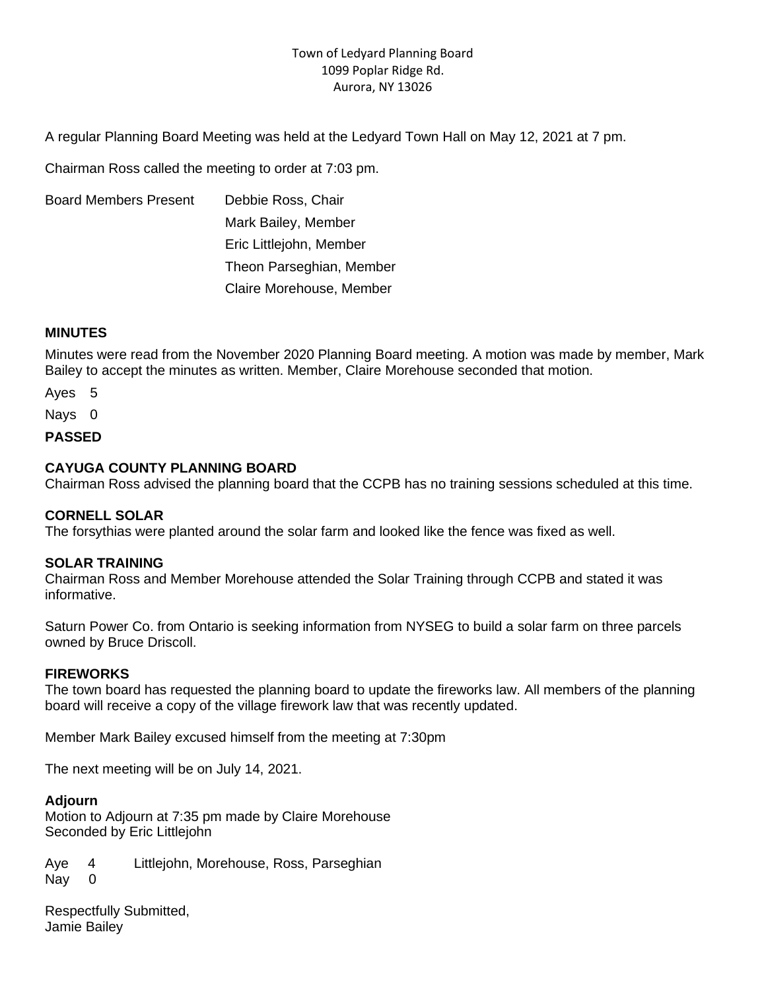# Town of Ledyard Planning Board 1099 Poplar Ridge Rd. Aurora, NY 13026

A regular Planning Board Meeting was held at the Ledyard Town Hall on May 12, 2021 at 7 pm.

Chairman Ross called the meeting to order at 7:03 pm.

Board Members Present Debbie Ross, Chair Mark Bailey, Member Eric Littlejohn, Member Theon Parseghian, Member Claire Morehouse, Member

## **MINUTES**

Minutes were read from the November 2020 Planning Board meeting. A motion was made by member, Mark Bailey to accept the minutes as written. Member, Claire Morehouse seconded that motion.

Ayes 5

Nays 0

**PASSED**

### **CAYUGA COUNTY PLANNING BOARD**

Chairman Ross advised the planning board that the CCPB has no training sessions scheduled at this time.

# **CORNELL SOLAR**

The forsythias were planted around the solar farm and looked like the fence was fixed as well.

#### **SOLAR TRAINING**

Chairman Ross and Member Morehouse attended the Solar Training through CCPB and stated it was informative.

Saturn Power Co. from Ontario is seeking information from NYSEG to build a solar farm on three parcels owned by Bruce Driscoll.

#### **FIREWORKS**

The town board has requested the planning board to update the fireworks law. All members of the planning board will receive a copy of the village firework law that was recently updated.

Member Mark Bailey excused himself from the meeting at 7:30pm

The next meeting will be on July 14, 2021.

#### **Adjourn**

Motion to Adjourn at 7:35 pm made by Claire Morehouse Seconded by Eric Littlejohn

Aye 4 Littlejohn, Morehouse, Ross, Parseghian Nay 0

Respectfully Submitted, Jamie Bailey